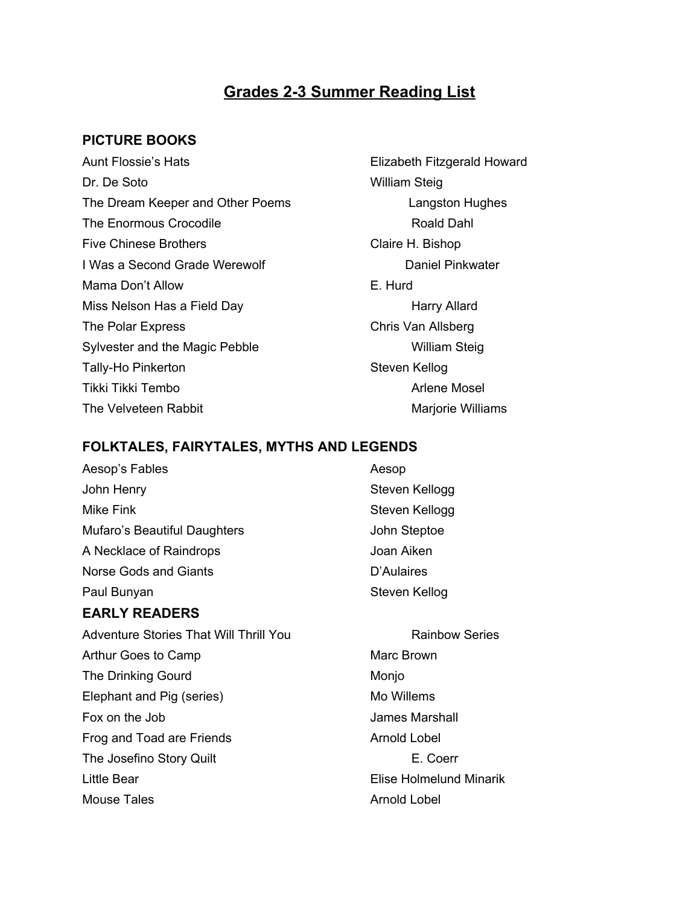## **Grades 23 Summer Reading List**

### **PICTURE BOOKS**

Aunt Flossie's Hats **Elizabeth Fitzgerald Howard** Dr. De Soto William Steig The Dream Keeper and Other Poems **Langston Hughes** The Enormous Crocodile **Roald Dahl** Roald Dahl Five Chinese Brothers **Claire H. Bishop** I Was a Second Grade Werewolf **Daniel Pinkwater** Daniel Pinkwater Mama Don't Allow **E.** Hurd Miss Nelson Has a Field Day **Harry Allard** Harry Allard The Polar Express Chris Van Allsberg Sylvester and the Magic Pebble William Steig Tally-Ho Pinkerton Steven Kellog Tikki Tikki Tembo Arlene Mosel The Velveteen Rabbit Marjorie Williams

#### **FOLKTALES, FAIRYTALES, MYTHS AND LEGENDS**

| Aesop's Fables                                | Aesop                   |
|-----------------------------------------------|-------------------------|
| John Henry                                    | Steven Kellogg          |
| Mike Fink                                     | Steven Kellogg          |
| Mufaro's Beautiful Daughters                  | John Steptoe            |
| A Necklace of Raindrops                       | Joan Aiken              |
| Norse Gods and Giants                         | D'Aulaires              |
| Paul Bunyan                                   | Steven Kellog           |
| <b>EARLY READERS</b>                          |                         |
| <b>Adventure Stories That Will Thrill You</b> | <b>Rainbow Series</b>   |
| Arthur Goes to Camp                           | Marc Brown              |
| <b>The Drinking Gourd</b>                     | Monjo                   |
| Elephant and Pig (series)                     | Mo Willems              |
| Fox on the Job                                | James Marshall          |
| Frog and Toad are Friends                     | <b>Arnold Lobel</b>     |
| The Josefino Story Quilt                      | E. Coerr                |
| Little Bear                                   | Elise Holmelund Minarik |

Mouse Tales **Arnold Lobel Arnold Lobel** 

# **Rainbow Series** Marc Brown Monjo Mo Willems James Marshall Arnold Lobel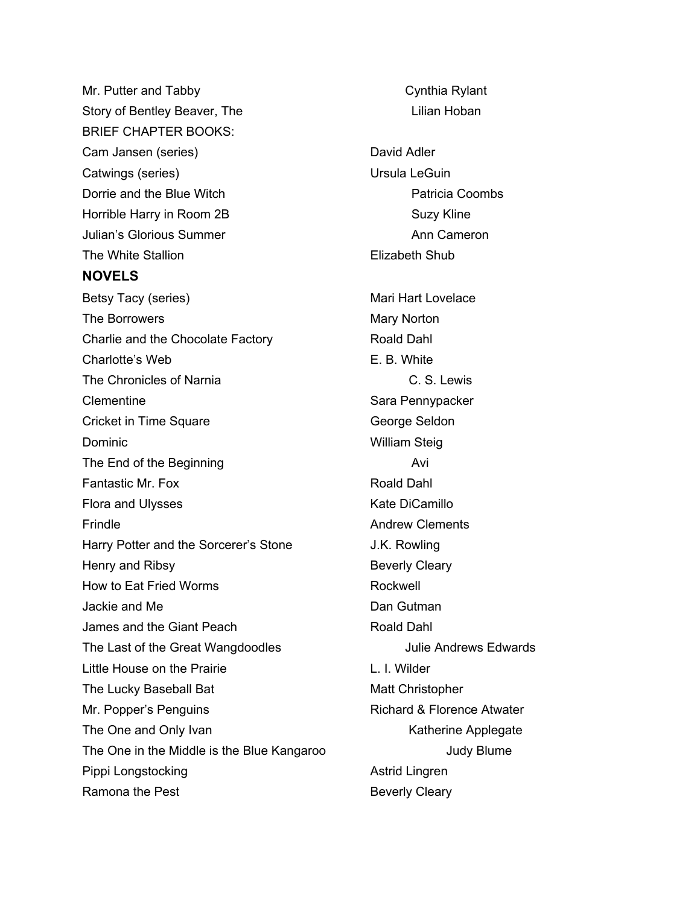Mr. Putter and Tabby Cynthia Rylant Story of Bentley Beaver, The Lilian Hoban BRIEF CHAPTER BOOKS: Cam Jansen (series) David Adler Catwings (series) Catwings (series) Dorrie and the Blue Witch **Patricia Coombs** Patricia Coombs Horrible Harry in Room 2B Suzy Kline Julian's Glorious Summer Ann Cameron Ann Cameron The White Stallion **Elizabeth Shub NOVELS** Betsy Tacy (series) Mari Hart Lovelace The Borrowers **Mary Norton** Mary Norton Charlie and the Chocolate Factory **Roald Dahl** Charlotte's Web **E. B. White** The Chronicles of Narnia C. S. Lewis Clementine Sara Pennypacker Cricket in Time Square George Seldon Dominic **No. 1988 Dominic** William Steig The End of the Beginning The End of the Beginning Fantastic Mr. Fox **Roald Dahl** Flora and Ulysses Kate DiCamillo Frindle **Andrew Clements** Harry Potter and the Sorcerer's Stone J.K. Rowling Henry and Ribsy **Beverly Cleary** How to Eat Fried Worms **Rockwell** Jackie and Me Dan Gutman James and the Giant Peach State Controller and Dahl The Last of the Great Wangdoodles Julie Andrews Edwards Little House on the Prairie L. L. Wilder The Lucky Baseball Bat Matt Christopher Mr. Popper's Penguins **Richard & Florence Atwater** Richard & Florence Atwater The One and Only Ivan Katherine Applegate Katherine Applegate The One in the Middle is the Blue Kangaroo Judy Blume Pippi Longstocking and a strid Lingren Astrid Lingren Ramona the Pest **Beverly Cleary**